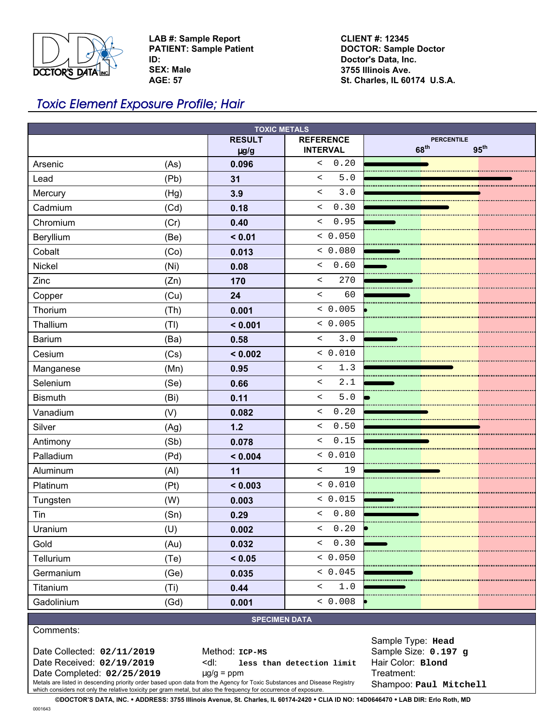

**LAB #: Sample Report PATIENT: Sample Patient ID: SEX: Male**

**AGE: 57**

**CLIENT #: 12345 DOCTOR: Sample Doctor Doctor's Data, Inc. 3755 Illinois Ave. St. Charles, IL 60174 U.S.A.**

## Toxic Element Exposure Profile; Hair

| <b>TOXIC METALS</b>  |      |               |                                                     |                                                           |
|----------------------|------|---------------|-----------------------------------------------------|-----------------------------------------------------------|
|                      |      | <b>RESULT</b> | <b>REFERENCE</b>                                    | <b>PERCENTILE</b><br>68 <sup>th</sup><br>95 <sup>th</sup> |
| Arsenic              |      | $\mu$ g/g     | <b>INTERVAL</b><br>0.20<br>$\overline{\phantom{0}}$ |                                                           |
|                      | (As) | 0.096         | $5.0$<br>$\prec$                                    |                                                           |
| Lead                 | (Pb) | 31            |                                                     |                                                           |
| Mercury              | (Hg) | 3.9           | 3.0<br>$\overline{\phantom{0}}$                     |                                                           |
| Cadmium              | (Cd) | 0.18          | 0.30<br>$\lt$                                       |                                                           |
| Chromium             | (Cr) | 0.40          | 0.95<br>$\,<\,$                                     |                                                           |
| Beryllium            | (Be) | < 0.01        | < 0.050                                             |                                                           |
| Cobalt               | (Co) | 0.013         | < 0.080                                             |                                                           |
| Nickel               | (Ni) | 0.08          | 0.60<br>$\lt$                                       |                                                           |
| Zinc                 | (Zn) | 170           | 270<br>$\overline{\phantom{0}}$                     |                                                           |
| Copper               | (Cu) | 24            | 60<br>$\prec$                                       |                                                           |
| Thorium              | (Th) | 0.001         | & 0.005                                             |                                                           |
| Thallium             | (TI) | < 0.001       | < 0.005                                             |                                                           |
| <b>Barium</b>        | (Ba) | 0.58          | 3.0<br>$\prec$                                      |                                                           |
| Cesium               | (Cs) | < 0.002       | < 0.010                                             |                                                           |
| Manganese            | (Mn) | 0.95          | 1.3<br>$\overline{\phantom{a}}$                     |                                                           |
| Selenium             | (Se) | 0.66          | 2.1<br>$\prec$                                      |                                                           |
| <b>Bismuth</b>       | (Bi) | 0.11          | $5.0$<br>$\overline{\phantom{0}}$                   |                                                           |
| Vanadium             | (V)  | 0.082         | 0.20<br>$\overline{\phantom{a}}$                    |                                                           |
| Silver               | (Ag) | $1.2$         | 0.50<br>$\overline{\phantom{0}}$                    |                                                           |
| Antimony             | (Sb) | 0.078         | 0.15<br>$\overline{\phantom{a}}$                    |                                                           |
| Palladium            | (Pd) | < 0.004       | < 0.010                                             |                                                           |
| Aluminum             | (Al) | 11            | $\prec$<br>19                                       |                                                           |
| Platinum             | (Pt) | < 0.003       | < 0.010                                             |                                                           |
| Tungsten             | (W)  | 0.003         | < 0.015                                             |                                                           |
| Tin                  | (Sn) | 0.29          | $\leq$<br>0.80                                      |                                                           |
| Uranium              | (U)  | 0.002         | & 0.20                                              |                                                           |
| Gold                 | (Au) | 0.032         | 0.30<br>$\lt$                                       |                                                           |
| Tellurium            | (Te) | < 0.05        | < 0.050                                             |                                                           |
| Germanium            | (Ge) | 0.035         | < 0.045                                             |                                                           |
| Titanium             | (Ti) | 0.44          | $\,<$<br>1.0                                        |                                                           |
| Gadolinium           | (Gd) | 0.001         | < 0.008                                             |                                                           |
| <b>SPECIMEN DATA</b> |      |               |                                                     |                                                           |

Comments:

Date Collected:  $02/11/2019$  Method: ICP-MS Sample Size:  $0.197$  g

Date Received: **02/19/2019** <dl: **less than detection limit** Hair Color: **Blond** Date Completed: **02/25/2019** µg/g = ppm Treatment:

Metals are listed in descending priority order based upon data from the Agency for Toxic Substances and Disease Registry Shampoo: <code>paul mitchell</code>

Sample Type: **Head**

**©DOCTOR'S DATA, INC.** ! **ADDRESS: 3755 Illinois Avenue, St. Charles, IL 60174-2420** ! **CLIA ID NO: 14D0646470** ! **LAB DIR: Erlo Roth, MD**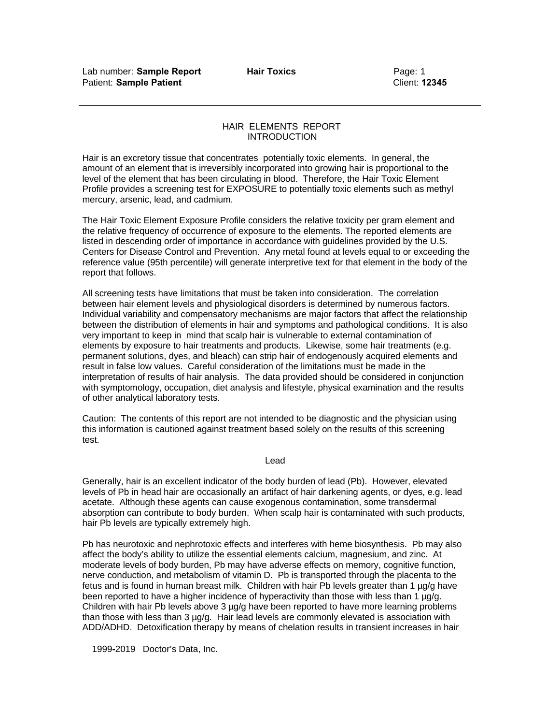## HAIR ELEMENTS REPORT INTRODUCTION

Hair is an excretory tissue that concentrates potentially toxic elements. In general, the amount of an element that is irreversibly incorporated into growing hair is proportional to the level of the element that has been circulating in blood. Therefore, the Hair Toxic Element Profile provides a screening test for EXPOSURE to potentially toxic elements such as methyl mercury, arsenic, lead, and cadmium.

The Hair Toxic Element Exposure Profile considers the relative toxicity per gram element and the relative frequency of occurrence of exposure to the elements. The reported elements are listed in descending order of importance in accordance with guidelines provided by the U.S. Centers for Disease Control and Prevention. Any metal found at levels equal to or exceeding the reference value (95th percentile) will generate interpretive text for that element in the body of the report that follows.

All screening tests have limitations that must be taken into consideration. The correlation between hair element levels and physiological disorders is determined by numerous factors. Individual variability and compensatory mechanisms are major factors that affect the relationship between the distribution of elements in hair and symptoms and pathological conditions. It is also very important to keep in mind that scalp hair is vulnerable to external contamination of elements by exposure to hair treatments and products. Likewise, some hair treatments (e.g. permanent solutions, dyes, and bleach) can strip hair of endogenously acquired elements and result in false low values. Careful consideration of the limitations must be made in the interpretation of results of hair analysis. The data provided should be considered in conjunction with symptomology, occupation, diet analysis and lifestyle, physical examination and the results of other analytical laboratory tests.

Caution: The contents of this report are not intended to be diagnostic and the physician using this information is cautioned against treatment based solely on the results of this screening test.

Lead

Generally, hair is an excellent indicator of the body burden of lead (Pb). However, elevated levels of Pb in head hair are occasionally an artifact of hair darkening agents, or dyes, e.g. lead acetate. Although these agents can cause exogenous contamination, some transdermal absorption can contribute to body burden. When scalp hair is contaminated with such products, hair Pb levels are typically extremely high.

Pb has neurotoxic and nephrotoxic effects and interferes with heme biosynthesis. Pb may also affect the body's ability to utilize the essential elements calcium, magnesium, and zinc. At moderate levels of body burden, Pb may have adverse effects on memory, cognitive function, nerve conduction, and metabolism of vitamin D. Pb is transported through the placenta to the fetus and is found in human breast milk. Children with hair Pb levels greater than 1 µg/g have been reported to have a higher incidence of hyperactivity than those with less than 1 µg/g. Children with hair Pb levels above 3 µg/g have been reported to have more learning problems than those with less than 3 µg/g. Hair lead levels are commonly elevated is association with ADD/ADHD. Detoxification therapy by means of chelation results in transient increases in hair

1999**-**2019 Doctor's Data, Inc.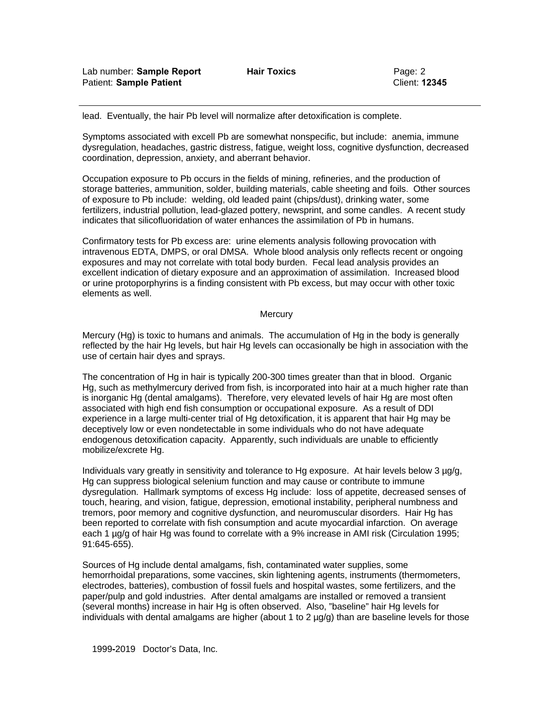lead. Eventually, the hair Pb level will normalize after detoxification is complete.

Symptoms associated with excell Pb are somewhat nonspecific, but include: anemia, immune dysregulation, headaches, gastric distress, fatigue, weight loss, cognitive dysfunction, decreased coordination, depression, anxiety, and aberrant behavior.

Occupation exposure to Pb occurs in the fields of mining, refineries, and the production of storage batteries, ammunition, solder, building materials, cable sheeting and foils. Other sources of exposure to Pb include: welding, old leaded paint (chips/dust), drinking water, some fertilizers, industrial pollution, lead-glazed pottery, newsprint, and some candles. A recent study indicates that silicofluoridation of water enhances the assimilation of Pb in humans.

Confirmatory tests for Pb excess are: urine elements analysis following provocation with intravenous EDTA, DMPS, or oral DMSA. Whole blood analysis only reflects recent or ongoing exposures and may not correlate with total body burden. Fecal lead analysis provides an excellent indication of dietary exposure and an approximation of assimilation. Increased blood or urine protoporphyrins is a finding consistent with Pb excess, but may occur with other toxic elements as well.

## **Mercury**

Mercury (Hg) is toxic to humans and animals. The accumulation of Hg in the body is generally reflected by the hair Hg levels, but hair Hg levels can occasionally be high in association with the use of certain hair dyes and sprays.

The concentration of Hg in hair is typically 200-300 times greater than that in blood. Organic Hg, such as methylmercury derived from fish, is incorporated into hair at a much higher rate than is inorganic Hg (dental amalgams). Therefore, very elevated levels of hair Hg are most often associated with high end fish consumption or occupational exposure. As a result of DDI experience in a large multi-center trial of Hg detoxification, it is apparent that hair Hg may be deceptively low or even nondetectable in some individuals who do not have adequate endogenous detoxification capacity. Apparently, such individuals are unable to efficiently mobilize/excrete Hg.

Individuals vary greatly in sensitivity and tolerance to Hg exposure. At hair levels below 3 µg/g, Hg can suppress biological selenium function and may cause or contribute to immune dysregulation. Hallmark symptoms of excess Hg include: loss of appetite, decreased senses of touch, hearing, and vision, fatigue, depression, emotional instability, peripheral numbness and tremors, poor memory and cognitive dysfunction, and neuromuscular disorders. Hair Hg has been reported to correlate with fish consumption and acute myocardial infarction. On average each 1  $\mu$ g/g of hair Hg was found to correlate with a 9% increase in AMI risk (Circulation 1995; 91:645-655).

Sources of Hg include dental amalgams, fish, contaminated water supplies, some hemorrhoidal preparations, some vaccines, skin lightening agents, instruments (thermometers, electrodes, batteries), combustion of fossil fuels and hospital wastes, some fertilizers, and the paper/pulp and gold industries. After dental amalgams are installed or removed a transient (several months) increase in hair Hg is often observed. Also, "baseline" hair Hg levels for individuals with dental amalgams are higher (about 1 to 2  $\mu q/q$ ) than are baseline levels for those

1999**-**2019 Doctor's Data, Inc.